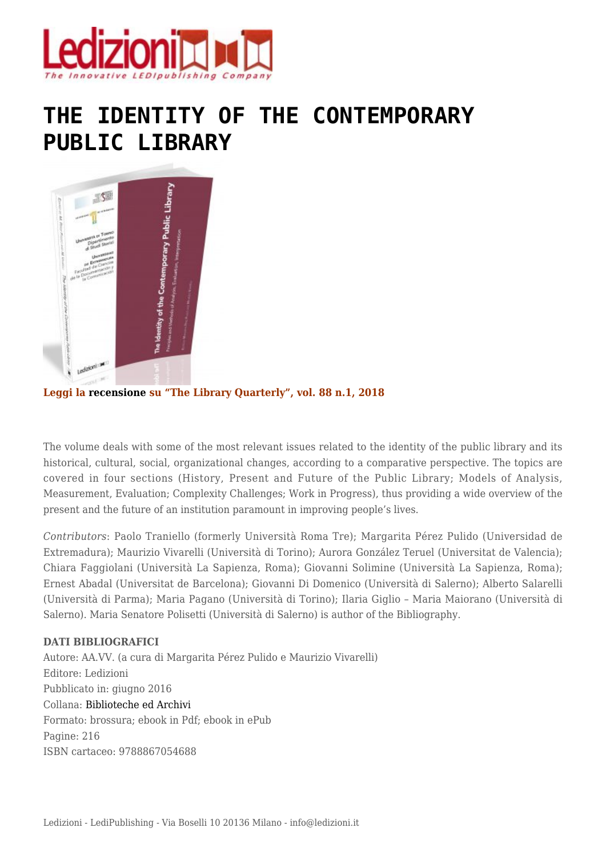

## **[THE IDENTITY OF THE CONTEMPORARY](https://www.ledizioni.it/prodotto/m-perez-pulido-m-vivarelli-cura-the-identity-of-the-contemporary-public-library/) [PUBLIC LIBRARY](https://www.ledizioni.it/prodotto/m-perez-pulido-m-vivarelli-cura-the-identity-of-the-contemporary-public-library/)**



**Leggi la [recensione](http://www.ledizioni.it/stag/wp-content/uploads/2017/12/Recensione.pdf) su "The Library Quarterly", vol. 88 n.1, 2018**

The volume deals with some of the most relevant issues related to the identity of the public library and its historical, cultural, social, organizational changes, according to a comparative perspective. The topics are covered in four sections (History, Present and Future of the Public Library; Models of Analysis, Measurement, Evaluation; Complexity Challenges; Work in Progress), thus providing a wide overview of the present and the future of an institution paramount in improving people's lives.

*Contributors*: Paolo Traniello (formerly Università Roma Tre); Margarita Pérez Pulido (Universidad de Extremadura); Maurizio Vivarelli (Università di Torino); Aurora González Teruel (Universitat de Valencia); Chiara Faggiolani (Università La Sapienza, Roma); Giovanni Solimine (Università La Sapienza, Roma); Ernest Abadal (Universitat de Barcelona); Giovanni Di Domenico (Università di Salerno); Alberto Salarelli (Università di Parma); Maria Pagano (Università di Torino); Ilaria Giglio – Maria Maiorano (Università di Salerno). Maria Senatore Polisetti (Università di Salerno) is author of the Bibliography.

## **DATI BIBLIOGRAFICI**

Autore: AA.VV. (a cura di Margarita Pérez Pulido e Maurizio Vivarelli) Editore: Ledizioni Pubblicato in: giugno 2016 Collana: [Biblioteche ed Archivi](https://www.ledizioni.it/categoria-prodotto/libri-e-biblioteche/biblioteche/) Formato: brossura; ebook in Pdf; ebook in ePub Pagine: 216 ISBN cartaceo: 9788867054688